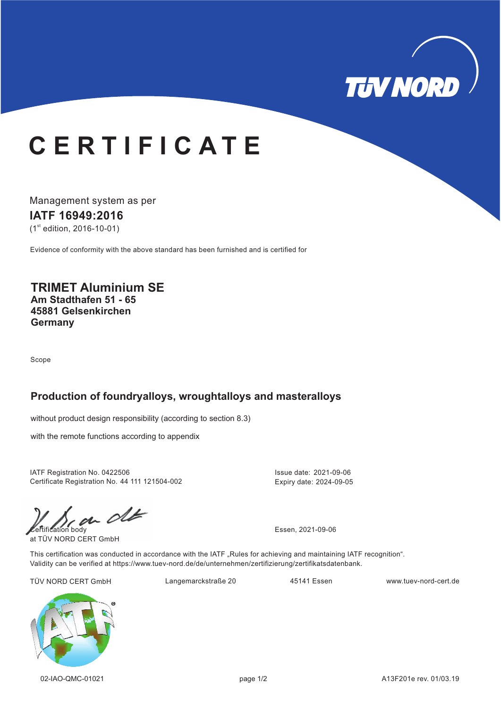

# **C E R T I F I C A T E**

Management system as per **IATF 16949: 16 20**  $(1<sup>st</sup>$  edition, 2016-10-01)

Evidence of conformity with the above standard has been furnished and is certified for

#### **TRIMET Aluminium SE Am Stadthafen 51 - 65 45881 Gelsenkirchen Germany**

Scope

#### **Production of foundryalloys, wroughtalloys and masteralloys**

without product design responsibility (according to section 8.3)

with the remote functions according to appendix

IATF Registration No. 0422506 Issue date: 2021-09-06 Certificate Registration No. 44 111 121504-002

 $\mathcal{C}$ 

at TÜV NORD CERT GmbH

Expiry date: 2024-09-05

This certification was conducted in accordance with the IATF "Rules for achieving and maintaining IATF recognition". Validity can be verified at https://www.tuev-nord.de/de/unternehmen/zertifizierung/zertifikatsdatenbank.

TÜV NORD CERT GmbH Langemarckstraße 20 45141 Essen www.tuev-nord-cert.de